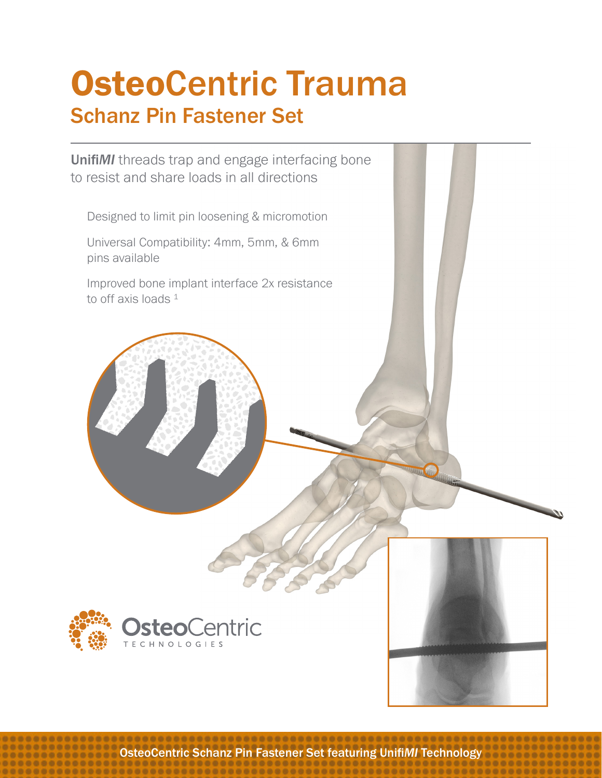# OsteoCentric Trauma Schanz Pin Fastener Set

Unifi*MI* threads trap and engage interfacing bone to resist and share loads in all directions

Designed to limit pin loosening & micromotion

Universal Compatibility: 4mm, 5mm, & 6mm pins available

Improved bone implant interface 2x resistance to off axis loads  $1$